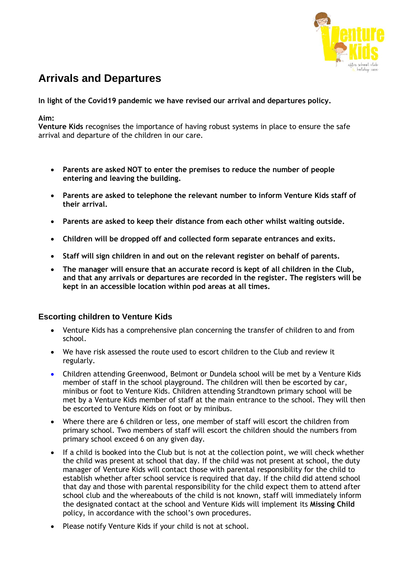

# **Arrivals and Departures**

**In light of the Covid19 pandemic we have revised our arrival and departures policy.**

#### **Aim:**

**Venture Kids** recognises the importance of having robust systems in place to ensure the safe arrival and departure of the children in our care.

- **Parents are asked NOT to enter the premises to reduce the number of people entering and leaving the building.**
- **Parents are asked to telephone the relevant number to inform Venture Kids staff of their arrival.**
- **Parents are asked to keep their distance from each other whilst waiting outside.**
- **Children will be dropped off and collected form separate entrances and exits.**
- **Staff will sign children in and out on the relevant register on behalf of parents.**
- **The manager will ensure that an accurate record is kept of all children in the Club, and that any arrivals or departures are recorded in the register. The registers will be kept in an accessible location within pod areas at all times.**

## **Escorting children to Venture Kids**

- Venture Kids has a comprehensive plan concerning the transfer of children to and from school.
- We have risk assessed the route used to escort children to the Club and review it regularly.
- Children attending Greenwood, Belmont or Dundela school will be met by a Venture Kids member of staff in the school playground. The children will then be escorted by car, minibus or foot to Venture Kids. Children attending Strandtown primary school will be met by a Venture Kids member of staff at the main entrance to the school. They will then be escorted to Venture Kids on foot or by minibus.
- Where there are 6 children or less, one member of staff will escort the children from primary school. Two members of staff will escort the children should the numbers from primary school exceed 6 on any given day.
- If a child is booked into the Club but is not at the collection point, we will check whether the child was present at school that day. If the child was not present at school, the duty manager of Venture Kids will contact those with parental responsibility for the child to establish whether after school service is required that day. If the child did attend school that day and those with parental responsibility for the child expect them to attend after school club and the whereabouts of the child is not known, staff will immediately inform the designated contact at the school and Venture Kids will implement its **Missing Child** policy, in accordance with the school's own procedures.
- Please notify Venture Kids if your child is not at school.